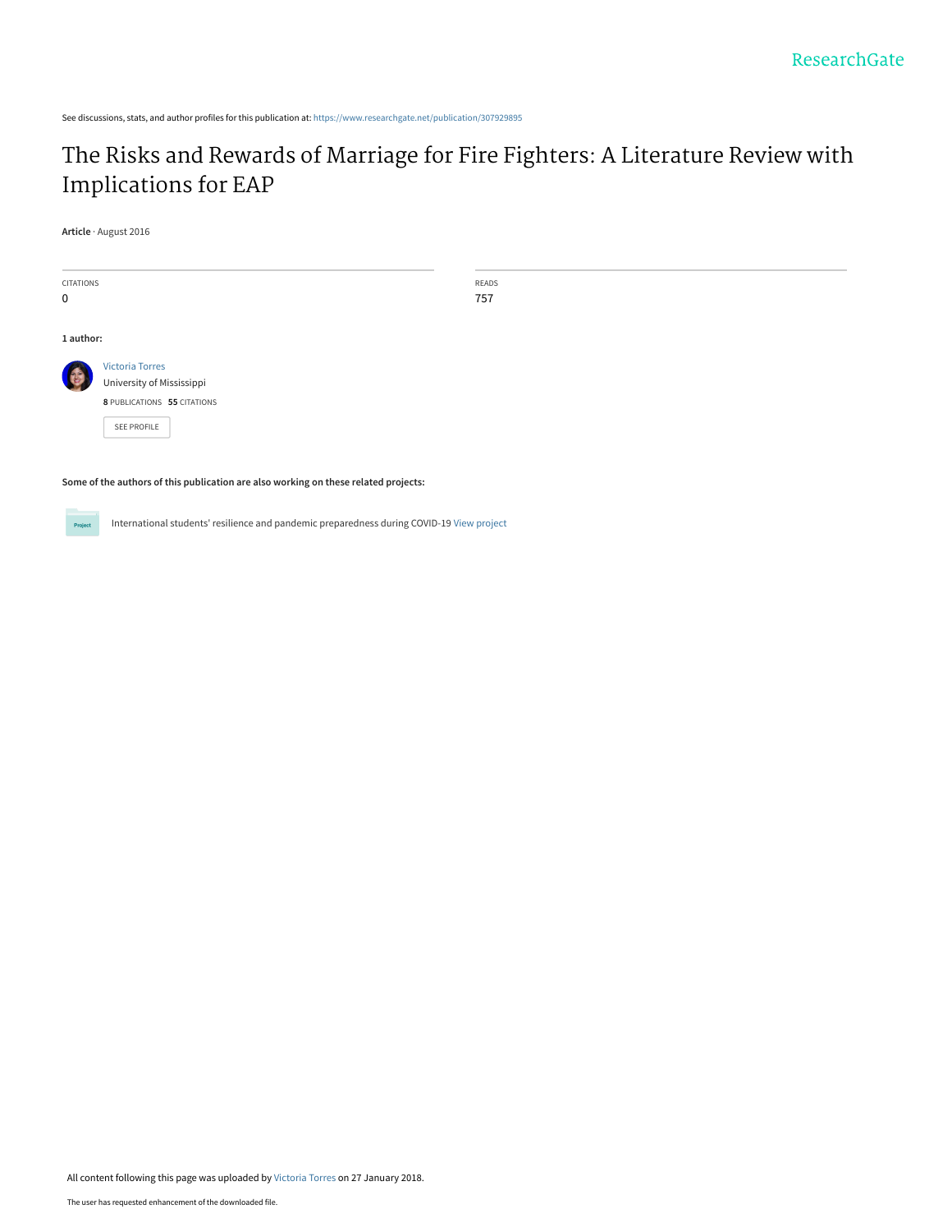See discussions, stats, and author profiles for this publication at: [https://www.researchgate.net/publication/307929895](https://www.researchgate.net/publication/307929895_The_Risks_and_Rewards_of_Marriage_for_Fire_Fighters_A_Literature_Review_with_Implications_for_EAP?enrichId=rgreq-8a23c2bafe944726d7999dfee714b908-XXX&enrichSource=Y292ZXJQYWdlOzMwNzkyOTg5NTtBUzo1ODc0MjQ4MjQ1ODYyNDBAMTUxNzA2NDQwMDIxMA%3D%3D&el=1_x_2&_esc=publicationCoverPdf)

## [The Risks and Rewards of Marriage for Fire Fighters: A Literature Review with](https://www.researchgate.net/publication/307929895_The_Risks_and_Rewards_of_Marriage_for_Fire_Fighters_A_Literature_Review_with_Implications_for_EAP?enrichId=rgreq-8a23c2bafe944726d7999dfee714b908-XXX&enrichSource=Y292ZXJQYWdlOzMwNzkyOTg5NTtBUzo1ODc0MjQ4MjQ1ODYyNDBAMTUxNzA2NDQwMDIxMA%3D%3D&el=1_x_3&_esc=publicationCoverPdf) Implications for EAP

**Article** · August 2016

| <b>CITATIONS</b> |                             | READS |  |
|------------------|-----------------------------|-------|--|
| $\mathbf 0$      |                             | 757   |  |
|                  |                             |       |  |
| 1 author:        |                             |       |  |
|                  | <b>Victoria Torres</b>      |       |  |
|                  | University of Mississippi   |       |  |
|                  | 8 PUBLICATIONS 55 CITATIONS |       |  |
|                  | SEE PROFILE                 |       |  |
|                  |                             |       |  |
|                  |                             |       |  |

**Some of the authors of this publication are also working on these related projects:**

Project

International students' resilience and pandemic preparedness during COVID-19 [View project](https://www.researchgate.net/project/International-students-resilience-and-pandemic-preparedness-during-COVID-19?enrichId=rgreq-8a23c2bafe944726d7999dfee714b908-XXX&enrichSource=Y292ZXJQYWdlOzMwNzkyOTg5NTtBUzo1ODc0MjQ4MjQ1ODYyNDBAMTUxNzA2NDQwMDIxMA%3D%3D&el=1_x_9&_esc=publicationCoverPdf)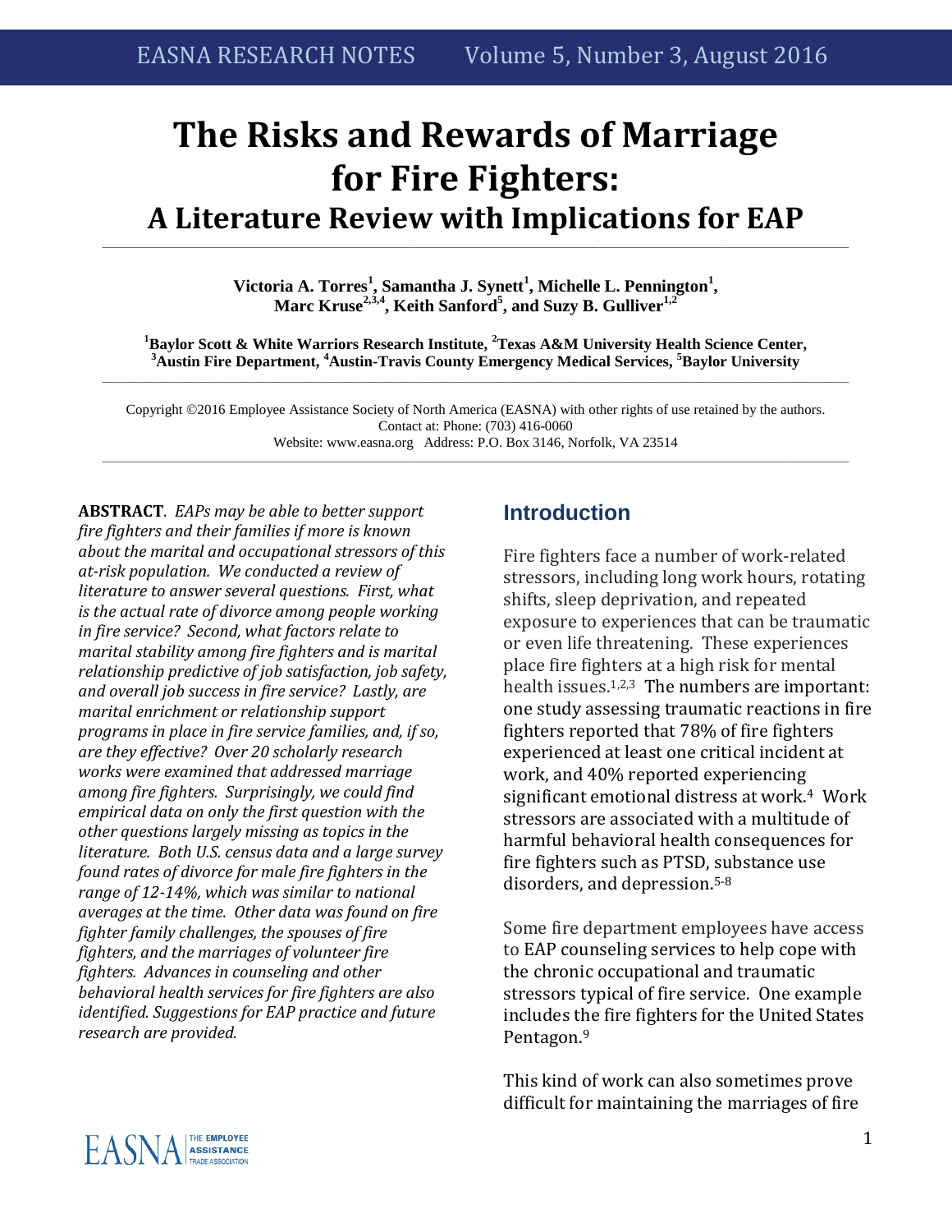# **The Risks and Rewards of Marriage for Fire Fighters: A Literature Review with Implications for EAP**

**Victoria A. Torres<sup>1</sup> , Samantha J. Synett<sup>1</sup> , Michelle L. Pennington<sup>1</sup> , Marc Kruse2,3,4, Keith Sanford<sup>5</sup> , and Suzy B. Gulliver1,2**

**\_\_\_\_\_\_\_\_\_\_\_\_\_\_\_\_\_\_\_\_\_\_\_\_\_\_\_\_\_\_\_\_\_\_\_\_\_\_\_\_\_\_\_\_\_\_\_\_\_\_\_\_\_\_\_\_\_\_\_\_\_\_\_\_\_\_\_\_\_\_\_\_\_\_\_\_\_\_\_\_\_\_\_\_\_\_\_\_\_\_\_\_\_\_\_\_\_\_\_\_\_\_\_\_\_\_\_\_**

**<sup>1</sup>Baylor Scott & White Warriors Research Institute, <sup>2</sup>Texas A&M University Health Science Center, <sup>3</sup>Austin Fire Department, <sup>4</sup>Austin-Travis County Emergency Medical Services, <sup>5</sup>Baylor University \_\_\_\_\_\_\_\_\_\_\_\_\_\_\_\_\_\_\_\_\_\_\_\_\_\_\_\_\_\_\_\_\_\_\_\_\_\_\_\_\_\_\_\_\_\_\_\_\_\_\_\_\_\_\_\_\_\_\_\_\_\_\_\_\_\_\_\_\_\_\_\_\_\_\_\_\_\_\_\_\_\_\_\_\_\_\_\_\_\_\_\_\_\_\_\_\_\_\_\_\_\_\_\_\_\_\_\_**

Copyright 2016 Employee Assistance Society of North America (EASNA) with other rights of use retained by the authors. Contact at: Phone: (703) 416-0060 Website: www.easna.org Address: P.O. Box 3146, Norfolk, VA 23514 **\_\_\_\_\_\_\_\_\_\_\_\_\_\_\_\_\_\_\_\_\_\_\_\_\_\_\_\_\_\_\_\_\_\_\_\_\_\_\_\_\_\_\_\_\_\_\_\_\_\_\_\_\_\_\_\_\_\_\_\_\_\_\_\_\_\_\_\_\_\_\_\_\_\_\_\_\_\_\_\_\_\_\_\_\_\_\_\_\_\_\_\_\_\_\_\_\_\_\_\_\_\_\_\_\_\_\_\_**

**ABSTRACT**. *EAPs may be able to better support fire fighters and their families if more is known about the marital and occupational stressors of this at-risk population. We conducted a review of literature to answer several questions. First, what is the actual rate of divorce among people working in fire service? Second, what factors relate to marital stability among fire fighters and is marital relationship predictive of job satisfaction, job safety, and overall job success in fire service? Lastly, are marital enrichment or relationship support programs in place in fire service families, and, if so, are they effective? Over 20 scholarly research works were examined that addressed marriage among fire fighters. Surprisingly, we could find empirical data on only the first question with the other questions largely missing as topics in the literature. Both U.S. census data and a large survey found rates of divorce for male fire fighters in the range of 12-14%, which was similar to national averages at the time. Other data was found on fire fighter family challenges, the spouses of fire fighters, and the marriages of volunteer fire fighters. Advances in counseling and other behavioral health services for fire fighters are also identified. Suggestions for EAP practice and future research are provided.* 

## **Introduction**

Fire fighters face a number of work-related stressors, including long work hours, rotating shifts, sleep deprivation, and repeated exposure to experiences that can be traumatic or even life threatening. These experiences place fire fighters at a high risk for mental health issues.<sup>1,2,3</sup> The numbers are important: one study assessing traumatic reactions in fire fighters reported that 78% of fire fighters experienced at least one critical incident at work, and 40% reported experiencing significant emotional distress at work.<sup>4</sup> Work stressors are associated with a multitude of harmful behavioral health consequences for fire fighters such as PTSD, substance use disorders, and depression.5-8

Some fire department employees have access to EAP counseling services to help cope with the chronic occupational and traumatic stressors typical of fire service. One example includes the fire fighters for the United States Pentagon. 9

This kind of work can also sometimes prove difficult for maintaining the marriages of fire

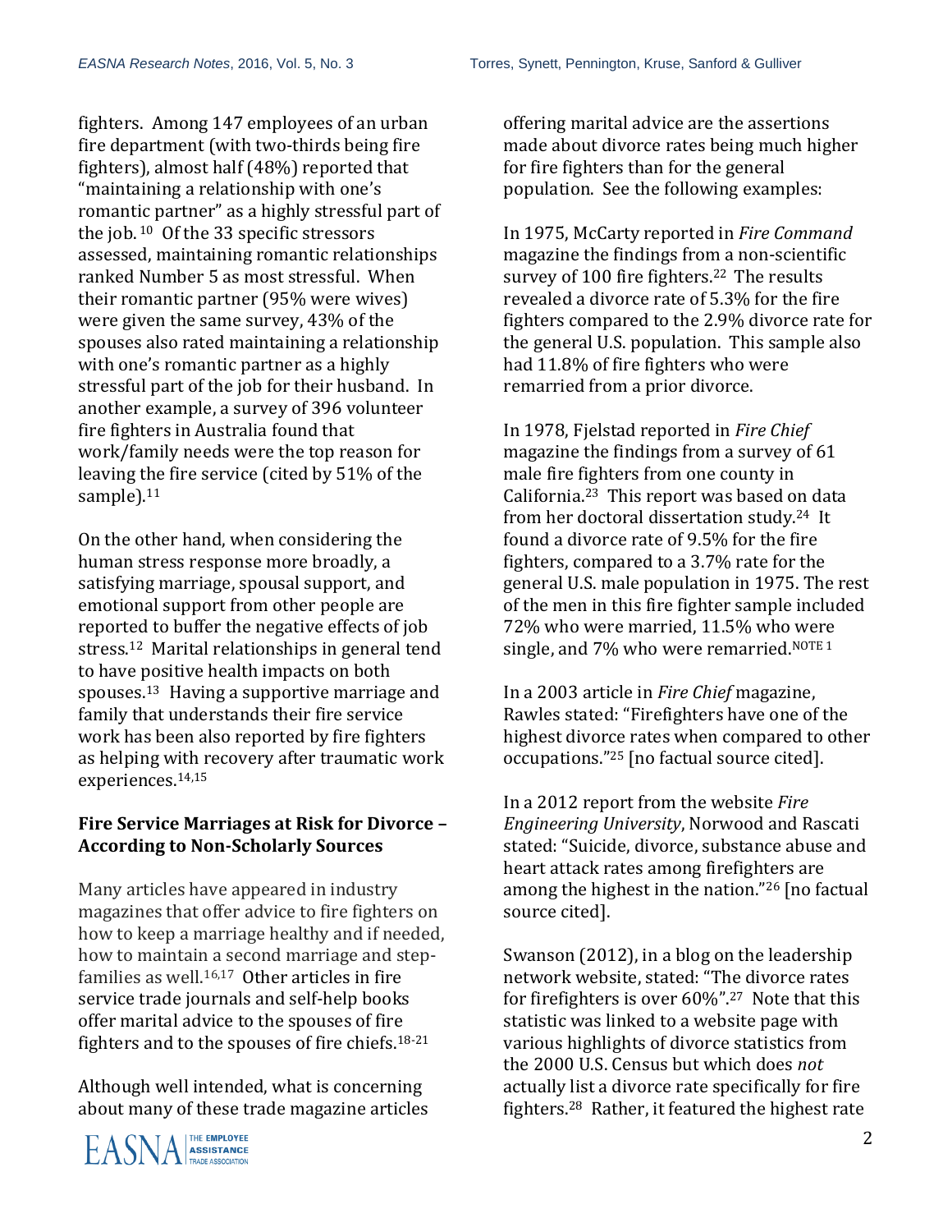fighters. Among 147 employees of an urban fire department (with two-thirds being fire fighters), almost half (48%) reported that "maintaining a relationship with one's romantic partner" as a highly stressful part of the job. <sup>10</sup> Of the 33 specific stressors assessed, maintaining romantic relationships ranked Number 5 as most stressful. When their romantic partner (95% were wives) were given the same survey, 43% of the spouses also rated maintaining a relationship with one's romantic partner as a highly stressful part of the job for their husband. In another example, a survey of 396 volunteer fire fighters in Australia found that work/family needs were the top reason for leaving the fire service (cited by 51% of the sample).<sup>11</sup>

On the other hand, when considering the human stress response more broadly, a satisfying marriage, spousal support, and emotional support from other people are reported to buffer the negative effects of job stress.<sup>12</sup> Marital relationships in general tend to have positive health impacts on both spouses. <sup>13</sup> Having a supportive marriage and family that understands their fire service work has been also reported by fire fighters as helping with recovery after traumatic work experiences.14,15

#### **Fire Service Marriages at Risk for Divorce – According to Non-Scholarly Sources**

Many articles have appeared in industry magazines that offer advice to fire fighters on how to keep a marriage healthy and if needed, how to maintain a second marriage and stepfamilies as well. 16,17 Other articles in fire service trade journals and self-help books offer marital advice to the spouses of fire fighters and to the spouses of fire chiefs.<sup>18-21</sup>

Although well intended, what is concerning about many of these trade magazine articles



offering marital advice are the assertions made about divorce rates being much higher for fire fighters than for the general population. See the following examples:

In 1975, McCarty reported in *Fire Command* magazine the findings from a non-scientific survey of 100 fire fighters. <sup>22</sup> The results revealed a divorce rate of 5.3% for the fire fighters compared to the 2.9% divorce rate for the general U.S. population. This sample also had 11.8% of fire fighters who were remarried from a prior divorce.

In 1978, Fjelstad reported in *Fire Chief* magazine the findings from a survey of 61 male fire fighters from one county in California.<sup>23</sup> This report was based on data from her doctoral dissertation study. <sup>24</sup> It found a divorce rate of 9.5% for the fire fighters, compared to a 3.7% rate for the general U.S. male population in 1975. The rest of the men in this fire fighter sample included 72% who were married, 11.5% who were single, and 7% who were remarried.<sup>NOTE 1</sup>

In a 2003 article in *Fire Chief* magazine, Rawles stated: "Firefighters have one of the highest divorce rates when compared to other occupations." <sup>25</sup> [no factual source cited].

In a 2012 report from the website *Fire Engineering University*, Norwood and Rascati stated: "Suicide, divorce, substance abuse and heart attack rates among firefighters are among the highest in the nation." <sup>26</sup> [no factual source cited].

Swanson (2012), in a blog on the leadership network website, stated: "The divorce rates for firefighters is over 60%". <sup>27</sup> Note that this statistic was linked to a website page with various highlights of divorce statistics from the 2000 U.S. Census but which does *not*  actually list a divorce rate specifically for fire fighters. <sup>28</sup> Rather, it featured the highest rate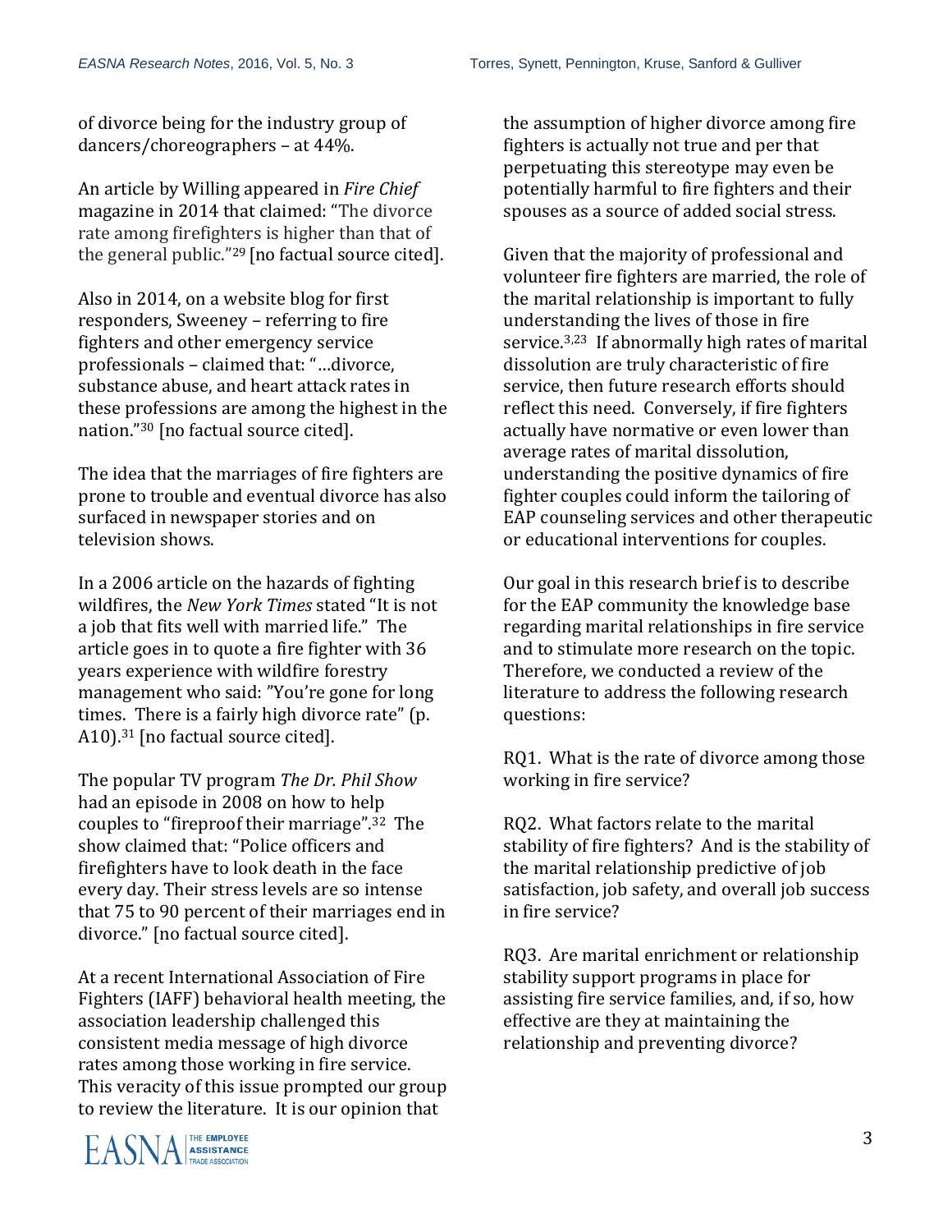of divorce being for the industry group of dancers/choreographers – at 44%.

An article by Willing appeared in *Fire Chief* magazine in 2014 that claimed: "The divorce rate among firefighters is higher than that of the general public."<sup>29</sup> [no factual source cited].

Also in 2014, on a website blog for first responders, Sweeney – referring to fire fighters and other emergency service professionals – claimed that: "…divorce, substance abuse, and heart attack rates in these professions are among the highest in the nation."<sup>30</sup> [no factual source cited].

The idea that the marriages of fire fighters are prone to trouble and eventual divorce has also surfaced in newspaper stories and on television shows.

In a 2006 article on the hazards of fighting wildfires, the *New York Times* stated "It is not a job that fits well with married life." The article goes in to quote a fire fighter with 36 years experience with wildfire forestry management who said: "You're gone for long times. There is a fairly high divorce rate" (p. A10).<sup>31</sup> [no factual source cited].

The popular TV program *The Dr. Phil Show* had an episode in 2008 on how to help couples to "fireproof their marriage".32 The show claimed that: "Police officers and firefighters have to look death in the face every day. Their stress levels are so intense that 75 to 90 percent of their marriages end in divorce." [no factual source cited].

At a recent International Association of Fire Fighters (IAFF) behavioral health meeting, the association leadership challenged this consistent media message of high divorce rates among those working in fire service. This veracity of this issue prompted our group to review the literature. It is our opinion that

the assumption of higher divorce among fire fighters is actually not true and per that perpetuating this stereotype may even be potentially harmful to fire fighters and their spouses as a source of added social stress.

Given that the majority of professional and volunteer fire fighters are married, the role of the marital relationship is important to fully understanding the lives of those in fire service.3,23 If abnormally high rates of marital dissolution are truly characteristic of fire service, then future research efforts should reflect this need. Conversely, if fire fighters actually have normative or even lower than average rates of marital dissolution, understanding the positive dynamics of fire fighter couples could inform the tailoring of EAP counseling services and other therapeutic or educational interventions for couples.

Our goal in this research brief is to describe for the EAP community the knowledge base regarding marital relationships in fire service and to stimulate more research on the topic. Therefore, we conducted a review of the literature to address the following research questions:

RQ1. What is the rate of divorce among those working in fire service?

RQ2. What factors relate to the marital stability of fire fighters? And is the stability of the marital relationship predictive of job satisfaction, job safety, and overall job success in fire service?

RQ3. Are marital enrichment or relationship stability support programs in place for assisting fire service families, and, if so, how effective are they at maintaining the relationship and preventing divorce?

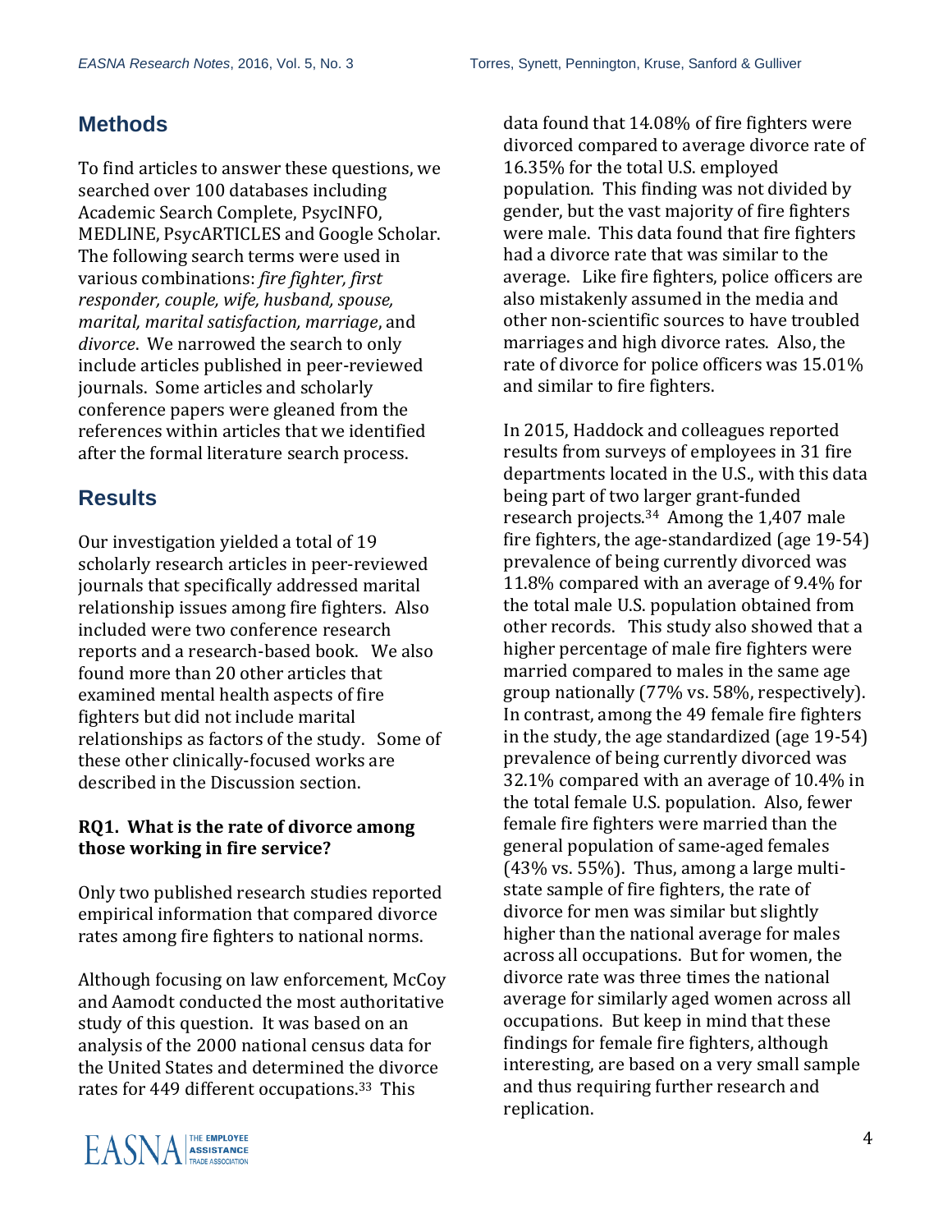### **Methods**

To find articles to answer these questions, we searched over 100 databases including Academic Search Complete, PsycINFO, MEDLINE, PsycARTICLES and Google Scholar. The following search terms were used in various combinations: *fire fighter, first responder, couple, wife, husband, spouse, marital, marital satisfaction, marriage*, and *divorce*. We narrowed the search to only include articles published in peer-reviewed journals. Some articles and scholarly conference papers were gleaned from the references within articles that we identified after the formal literature search process.

## **Results**

Our investigation yielded a total of 19 scholarly research articles in peer-reviewed journals that specifically addressed marital relationship issues among fire fighters. Also included were two conference research reports and a research-based book. We also found more than 20 other articles that examined mental health aspects of fire fighters but did not include marital relationships as factors of the study. Some of these other clinically-focused works are described in the Discussion section.

#### **RQ1. What is the rate of divorce among those working in fire service?**

Only two published research studies reported empirical information that compared divorce rates among fire fighters to national norms.

Although focusing on law enforcement, McCoy and Aamodt conducted the most authoritative study of this question. It was based on an analysis of the 2000 national census data for the United States and determined the divorce rates for 449 different occupations.<sup>33</sup> This

data found that 14.08% of fire fighters were divorced compared to average divorce rate of 16.35% for the total U.S. employed population. This finding was not divided by gender, but the vast majority of fire fighters were male. This data found that fire fighters had a divorce rate that was similar to the average. Like fire fighters, police officers are also mistakenly assumed in the media and other non-scientific sources to have troubled marriages and high divorce rates. Also, the rate of divorce for police officers was 15.01% and similar to fire fighters.

In 2015, Haddock and colleagues reported results from surveys of employees in 31 fire departments located in the U.S., with this data being part of two larger grant-funded research projects.34 Among the 1,407 male fire fighters, the age-standardized (age 19-54) prevalence of being currently divorced was 11.8% compared with an average of 9.4% for the total male U.S. population obtained from other records. This study also showed that a higher percentage of male fire fighters were married compared to males in the same age group nationally (77% vs. 58%, respectively). In contrast, among the 49 female fire fighters in the study, the age standardized (age 19-54) prevalence of being currently divorced was 32.1% compared with an average of 10.4% in the total female U.S. population. Also, fewer female fire fighters were married than the general population of same-aged females (43% vs. 55%). Thus, among a large multistate sample of fire fighters, the rate of divorce for men was similar but slightly higher than the national average for males across all occupations. But for women, the divorce rate was three times the national average for similarly aged women across all occupations. But keep in mind that these findings for female fire fighters, although interesting, are based on a very small sample and thus requiring further research and replication.

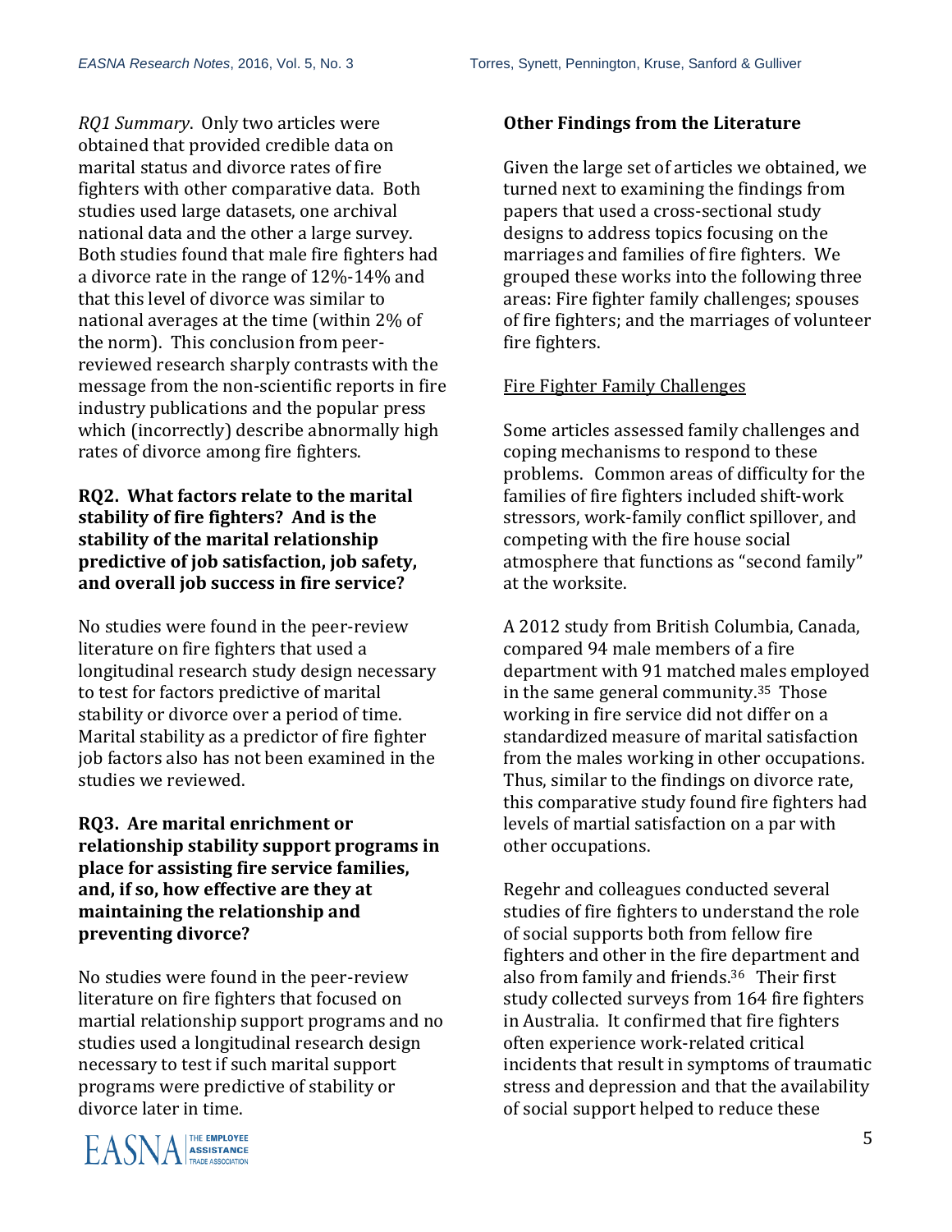*RQ1 Summary*. Only two articles were obtained that provided credible data on marital status and divorce rates of fire fighters with other comparative data. Both studies used large datasets, one archival national data and the other a large survey. Both studies found that male fire fighters had a divorce rate in the range of 12%-14% and that this level of divorce was similar to national averages at the time (within 2% of the norm). This conclusion from peerreviewed research sharply contrasts with the message from the non-scientific reports in fire industry publications and the popular press which (incorrectly) describe abnormally high rates of divorce among fire fighters.

#### **RQ2. What factors relate to the marital stability of fire fighters? And is the stability of the marital relationship predictive of job satisfaction, job safety, and overall job success in fire service?**

No studies were found in the peer-review literature on fire fighters that used a longitudinal research study design necessary to test for factors predictive of marital stability or divorce over a period of time. Marital stability as a predictor of fire fighter job factors also has not been examined in the studies we reviewed.

#### **RQ3. Are marital enrichment or relationship stability support programs in place for assisting fire service families, and, if so, how effective are they at maintaining the relationship and preventing divorce?**

No studies were found in the peer-review literature on fire fighters that focused on martial relationship support programs and no studies used a longitudinal research design necessary to test if such marital support programs were predictive of stability or divorce later in time.



#### **Other Findings from the Literature**

Given the large set of articles we obtained, we turned next to examining the findings from papers that used a cross-sectional study designs to address topics focusing on the marriages and families of fire fighters. We grouped these works into the following three areas: Fire fighter family challenges; spouses of fire fighters; and the marriages of volunteer fire fighters.

#### Fire Fighter Family Challenges

Some articles assessed family challenges and coping mechanisms to respond to these problems. Common areas of difficulty for the families of fire fighters included shift-work stressors, work-family conflict spillover, and competing with the fire house social atmosphere that functions as "second family" at the worksite.

A 2012 study from British Columbia, Canada, compared 94 male members of a fire department with 91 matched males employed in the same general community.35 Those working in fire service did not differ on a standardized measure of marital satisfaction from the males working in other occupations. Thus, similar to the findings on divorce rate, this comparative study found fire fighters had levels of martial satisfaction on a par with other occupations.

Regehr and colleagues conducted several studies of fire fighters to understand the role of social supports both from fellow fire fighters and other in the fire department and also from family and friends. <sup>36</sup> Their first study collected surveys from 164 fire fighters in Australia. It confirmed that fire fighters often experience work-related critical incidents that result in symptoms of traumatic stress and depression and that the availability of social support helped to reduce these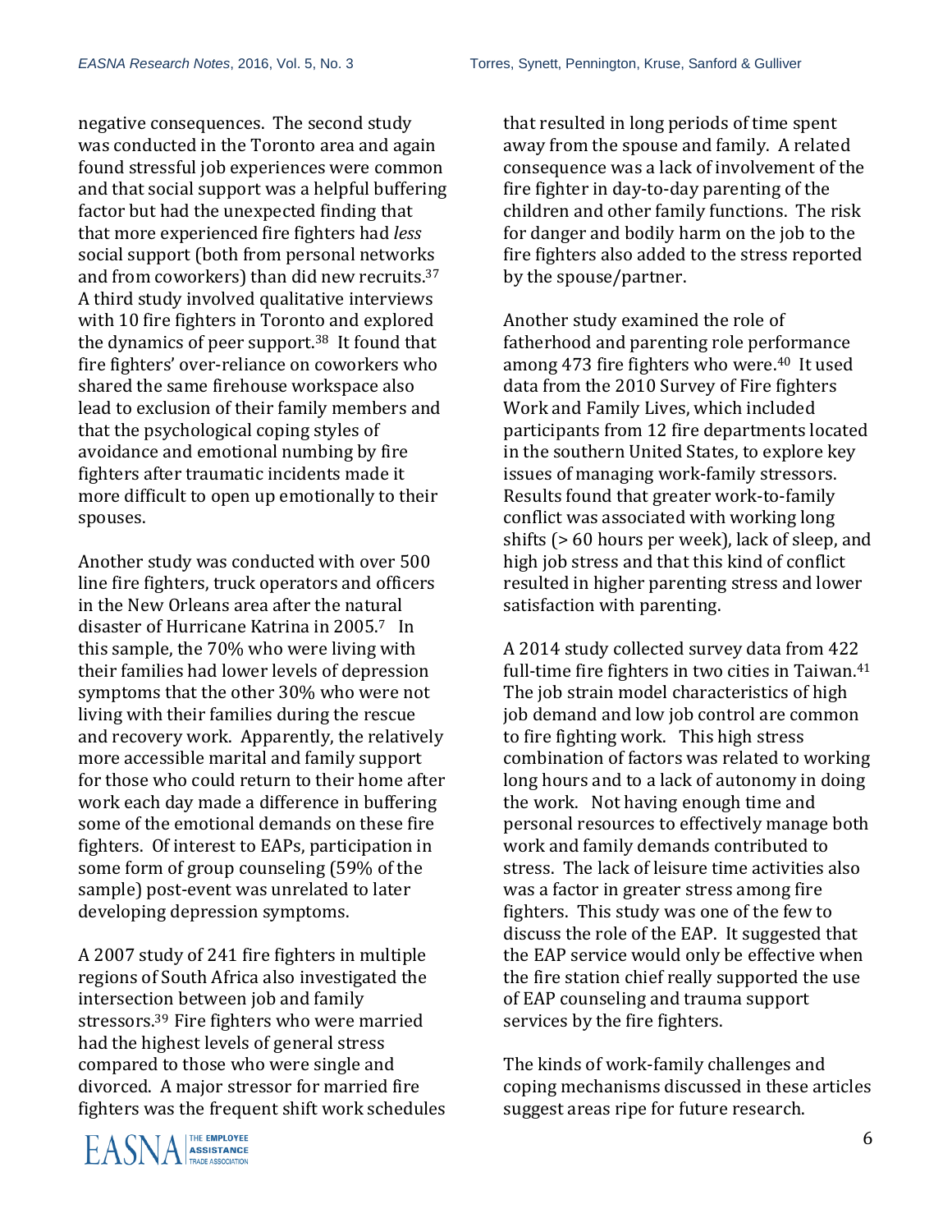negative consequences. The second study was conducted in the Toronto area and again found stressful job experiences were common and that social support was a helpful buffering factor but had the unexpected finding that that more experienced fire fighters had *less* social support (both from personal networks and from coworkers) than did new recruits.<sup>37</sup> A third study involved qualitative interviews with 10 fire fighters in Toronto and explored the dynamics of peer support. <sup>38</sup> It found that fire fighters' over-reliance on coworkers who shared the same firehouse workspace also lead to exclusion of their family members and that the psychological coping styles of avoidance and emotional numbing by fire fighters after traumatic incidents made it more difficult to open up emotionally to their spouses.

Another study was conducted with over 500 line fire fighters, truck operators and officers in the New Orleans area after the natural disaster of Hurricane Katrina in 2005.7 In this sample, the 70% who were living with their families had lower levels of depression symptoms that the other 30% who were not living with their families during the rescue and recovery work. Apparently, the relatively more accessible marital and family support for those who could return to their home after work each day made a difference in buffering some of the emotional demands on these fire fighters. Of interest to EAPs, participation in some form of group counseling (59% of the sample) post-event was unrelated to later developing depression symptoms.

A 2007 study of 241 fire fighters in multiple regions of South Africa also investigated the intersection between job and family stressors.39 Fire fighters who were married had the highest levels of general stress compared to those who were single and divorced. A major stressor for married fire fighters was the frequent shift work schedules that resulted in long periods of time spent away from the spouse and family. A related consequence was a lack of involvement of the fire fighter in day-to-day parenting of the children and other family functions. The risk for danger and bodily harm on the job to the fire fighters also added to the stress reported by the spouse/partner.

Another study examined the role of fatherhood and parenting role performance among 473 fire fighters who were.<sup>40</sup> It used data from the 2010 Survey of Fire fighters Work and Family Lives, which included participants from 12 fire departments located in the southern United States, to explore key issues of managing work-family stressors. Results found that greater work-to-family conflict was associated with working long shifts (> 60 hours per week), lack of sleep, and high job stress and that this kind of conflict resulted in higher parenting stress and lower satisfaction with parenting.

A 2014 study collected survey data from 422 full-time fire fighters in two cities in Taiwan.<sup>41</sup> The job strain model characteristics of high job demand and low job control are common to fire fighting work. This high stress combination of factors was related to working long hours and to a lack of autonomy in doing the work. Not having enough time and personal resources to effectively manage both work and family demands contributed to stress. The lack of leisure time activities also was a factor in greater stress among fire fighters. This study was one of the few to discuss the role of the EAP. It suggested that the EAP service would only be effective when the fire station chief really supported the use of EAP counseling and trauma support services by the fire fighters.

The kinds of work-family challenges and coping mechanisms discussed in these articles suggest areas ripe for future research.

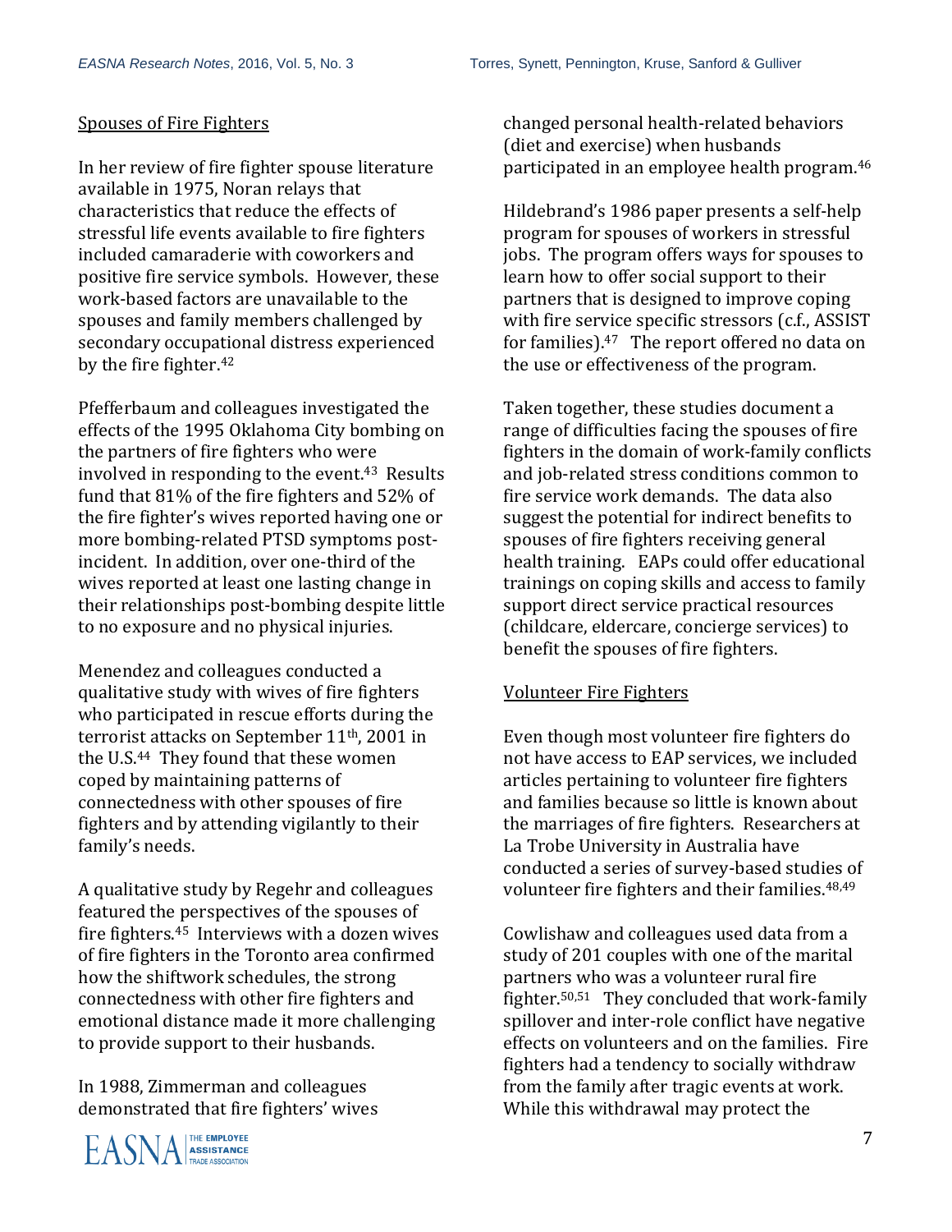#### Spouses of Fire Fighters

In her review of fire fighter spouse literature available in 1975, Noran relays that characteristics that reduce the effects of stressful life events available to fire fighters included camaraderie with coworkers and positive fire service symbols. However, these work-based factors are unavailable to the spouses and family members challenged by secondary occupational distress experienced by the fire fighter.<sup>42</sup>

Pfefferbaum and colleagues investigated the effects of the 1995 Oklahoma City bombing on the partners of fire fighters who were involved in responding to the event.<sup>43</sup> Results fund that 81% of the fire fighters and 52% of the fire fighter's wives reported having one or more bombing-related PTSD symptoms postincident. In addition, over one-third of the wives reported at least one lasting change in their relationships post-bombing despite little to no exposure and no physical injuries.

Menendez and colleagues conducted a qualitative study with wives of fire fighters who participated in rescue efforts during the terrorist attacks on September 11th, 2001 in the U.S.44 They found that these women coped by maintaining patterns of connectedness with other spouses of fire fighters and by attending vigilantly to their family's needs.

A qualitative study by Regehr and colleagues featured the perspectives of the spouses of fire fighters.45 Interviews with a dozen wives of fire fighters in the Toronto area confirmed how the shiftwork schedules, the strong connectedness with other fire fighters and emotional distance made it more challenging to provide support to their husbands.

In 1988, Zimmerman and colleagues demonstrated that fire fighters' wives



changed personal health-related behaviors (diet and exercise) when husbands participated in an employee health program.<sup>46</sup>

Hildebrand's 1986 paper presents a self-help program for spouses of workers in stressful jobs. The program offers ways for spouses to learn how to offer social support to their partners that is designed to improve coping with fire service specific stressors (c.f., ASSIST for families). <sup>47</sup> The report offered no data on the use or effectiveness of the program.

Taken together, these studies document a range of difficulties facing the spouses of fire fighters in the domain of work-family conflicts and job-related stress conditions common to fire service work demands. The data also suggest the potential for indirect benefits to spouses of fire fighters receiving general health training. EAPs could offer educational trainings on coping skills and access to family support direct service practical resources (childcare, eldercare, concierge services) to benefit the spouses of fire fighters.

#### Volunteer Fire Fighters

Even though most volunteer fire fighters do not have access to EAP services, we included articles pertaining to volunteer fire fighters and families because so little is known about the marriages of fire fighters. Researchers at La Trobe University in Australia have conducted a series of survey-based studies of volunteer fire fighters and their families.48,49

Cowlishaw and colleagues used data from a study of 201 couples with one of the marital partners who was a volunteer rural fire fighter. 50,51 They concluded that work-family spillover and inter-role conflict have negative effects on volunteers and on the families. Fire fighters had a tendency to socially withdraw from the family after tragic events at work. While this withdrawal may protect the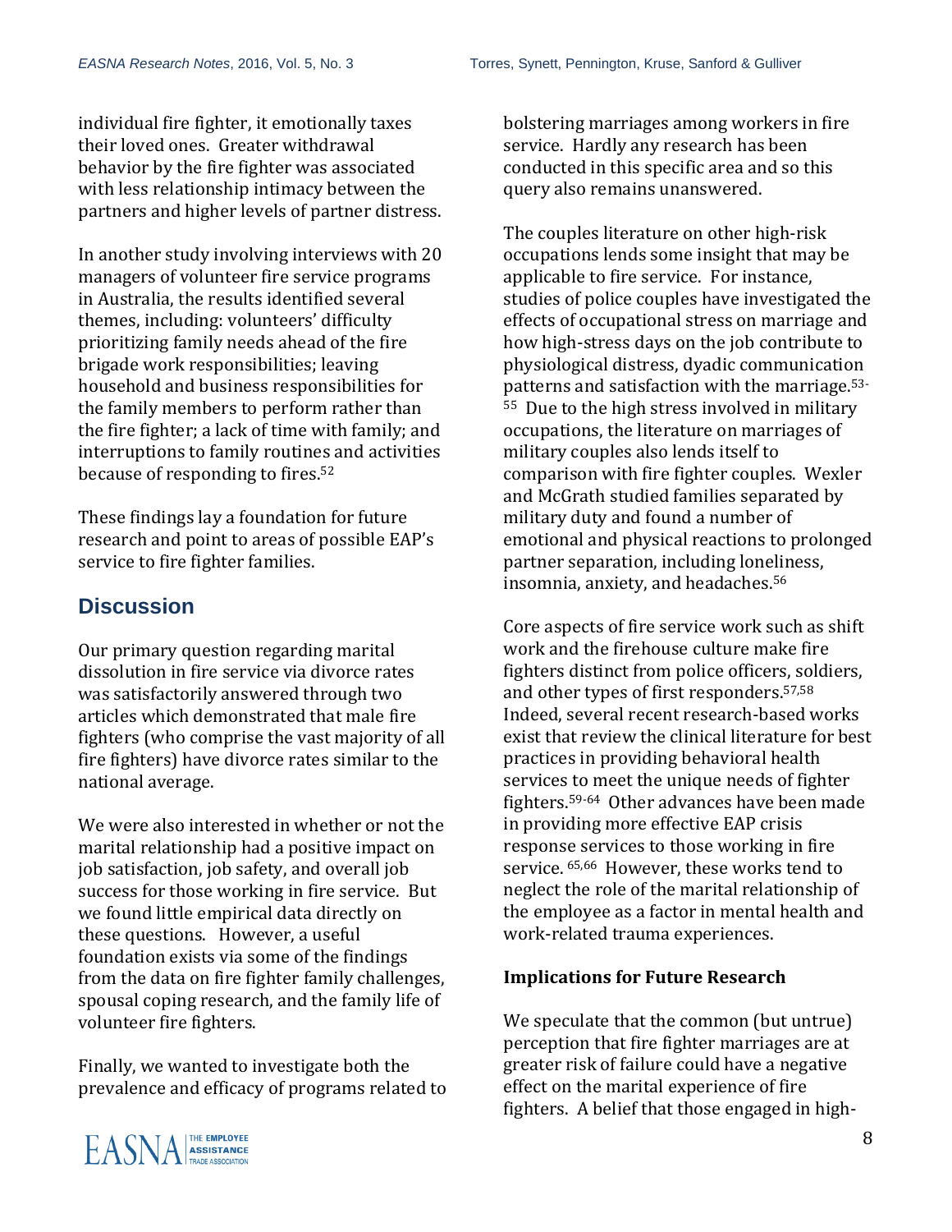individual fire fighter, it emotionally taxes their loved ones. Greater withdrawal behavior by the fire fighter was associated with less relationship intimacy between the partners and higher levels of partner distress.

In another study involving interviews with 20 managers of volunteer fire service programs in Australia, the results identified several themes, including: volunteers' difficulty prioritizing family needs ahead of the fire brigade work responsibilities; leaving household and business responsibilities for the family members to perform rather than the fire fighter; a lack of time with family; and interruptions to family routines and activities because of responding to fires.<sup>52</sup>

These findings lay a foundation for future research and point to areas of possible EAP's service to fire fighter families.

## **Discussion**

Our primary question regarding marital dissolution in fire service via divorce rates was satisfactorily answered through two articles which demonstrated that male fire fighters (who comprise the vast majority of all fire fighters) have divorce rates similar to the national average.

We were also interested in whether or not the marital relationship had a positive impact on job satisfaction, job safety, and overall job success for those working in fire service. But we found little empirical data directly on these questions. However, a useful foundation exists via some of the findings from the data on fire fighter family challenges, spousal coping research, and the family life of volunteer fire fighters.

Finally, we wanted to investigate both the prevalence and efficacy of programs related to bolstering marriages among workers in fire service. Hardly any research has been conducted in this specific area and so this query also remains unanswered.

The couples literature on other high-risk occupations lends some insight that may be applicable to fire service. For instance, studies of police couples have investigated the effects of occupational stress on marriage and how high-stress days on the job contribute to physiological distress, dyadic communication patterns and satisfaction with the marriage. 53- <sup>55</sup> Due to the high stress involved in military occupations, the literature on marriages of military couples also lends itself to comparison with fire fighter couples. Wexler and McGrath studied families separated by military duty and found a number of emotional and physical reactions to prolonged partner separation, including loneliness, insomnia, anxiety, and headaches.<sup>56</sup>

Core aspects of fire service work such as shift work and the firehouse culture make fire fighters distinct from police officers, soldiers, and other types of first responders. 57,58 Indeed, several recent research-based works exist that review the clinical literature for best practices in providing behavioral health services to meet the unique needs of fighter fighters.59-64 Other advances have been made in providing more effective EAP crisis response services to those working in fire service. 65,66 However, these works tend to neglect the role of the marital relationship of the employee as a factor in mental health and work-related trauma experiences.

#### **Implications for Future Research**

We speculate that the common (but untrue) perception that fire fighter marriages are at greater risk of failure could have a negative effect on the marital experience of fire fighters. A belief that those engaged in high-

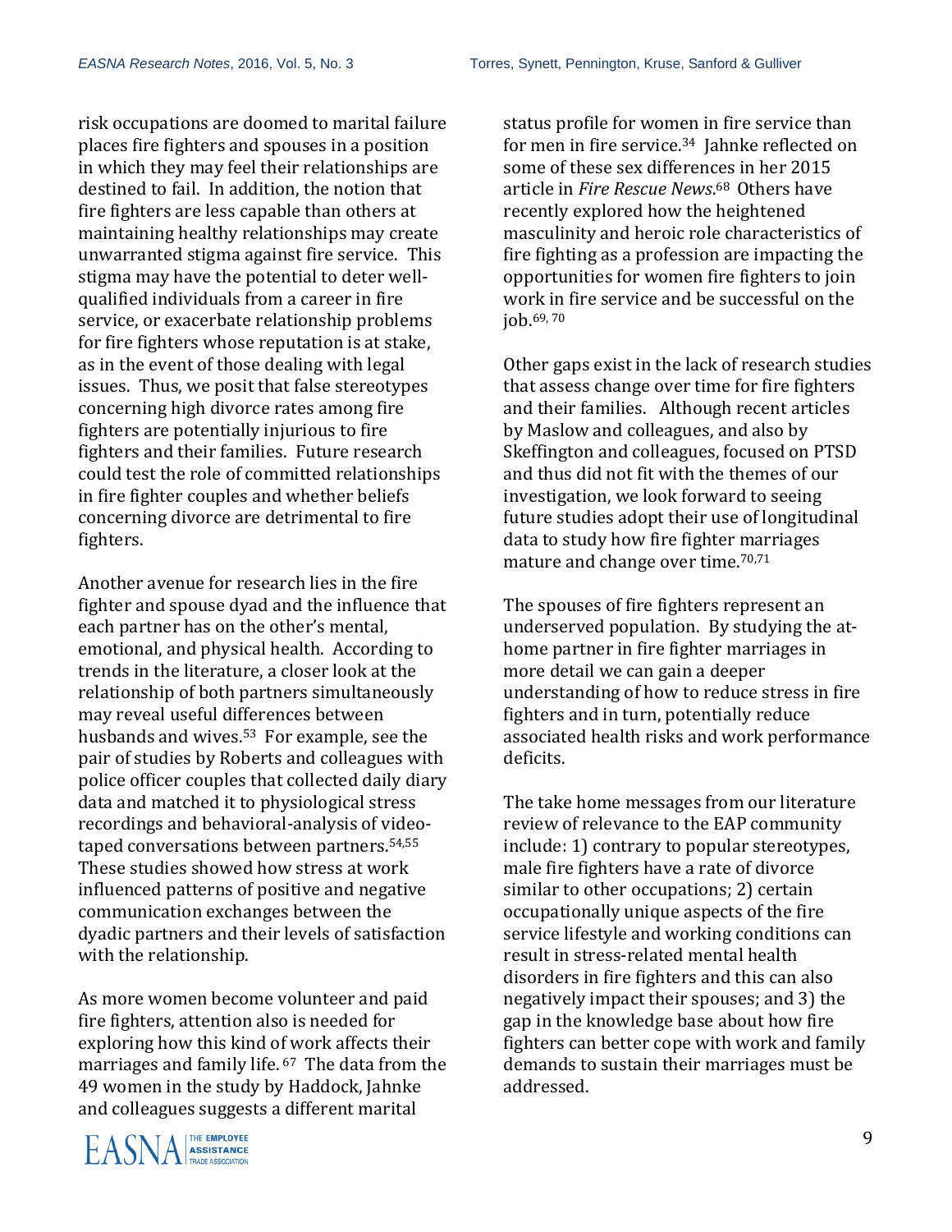risk occupations are doomed to marital failure places fire fighters and spouses in a position in which they may feel their relationships are destined to fail. In addition, the notion that fire fighters are less capable than others at maintaining healthy relationships may create unwarranted stigma against fire service. This stigma may have the potential to deter wellqualified individuals from a career in fire service, or exacerbate relationship problems for fire fighters whose reputation is at stake, as in the event of those dealing with legal issues. Thus, we posit that false stereotypes concerning high divorce rates among fire fighters are potentially injurious to fire fighters and their families. Future research could test the role of committed relationships in fire fighter couples and whether beliefs concerning divorce are detrimental to fire fighters.

Another avenue for research lies in the fire fighter and spouse dyad and the influence that each partner has on the other's mental, emotional, and physical health. According to trends in the literature, a closer look at the relationship of both partners simultaneously may reveal useful differences between husbands and wives. <sup>53</sup> For example, see the pair of studies by Roberts and colleagues with police officer couples that collected daily diary data and matched it to physiological stress recordings and behavioral-analysis of videotaped conversations between partners. 54,55 These studies showed how stress at work influenced patterns of positive and negative communication exchanges between the dyadic partners and their levels of satisfaction with the relationship.

As more women become volunteer and paid fire fighters, attention also is needed for exploring how this kind of work affects their marriages and family life. <sup>67</sup> The data from the 49 women in the study by Haddock, Jahnke and colleagues suggests a different marital

**A ASSISTANCE**<br> **ASSISTANCE**<br>
TRADE ASSOCIATION

status profile for women in fire service than for men in fire service. <sup>34</sup> Jahnke reflected on some of these sex differences in her 2015 article in *Fire Rescue News*. <sup>68</sup> Others have recently explored how the heightened masculinity and heroic role characteristics of fire fighting as a profession are impacting the opportunities for women fire fighters to join work in fire service and be successful on the job. 69, 70

Other gaps exist in the lack of research studies that assess change over time for fire fighters and their families. Although recent articles by Maslow and colleagues, and also by Skeffington and colleagues, focused on PTSD and thus did not fit with the themes of our investigation, we look forward to seeing future studies adopt their use of longitudinal data to study how fire fighter marriages mature and change over time. 70,71

The spouses of fire fighters represent an underserved population. By studying the athome partner in fire fighter marriages in more detail we can gain a deeper understanding of how to reduce stress in fire fighters and in turn, potentially reduce associated health risks and work performance deficits.

The take home messages from our literature review of relevance to the EAP community include: 1) contrary to popular stereotypes, male fire fighters have a rate of divorce similar to other occupations; 2) certain occupationally unique aspects of the fire service lifestyle and working conditions can result in stress-related mental health disorders in fire fighters and this can also negatively impact their spouses; and 3) the gap in the knowledge base about how fire fighters can better cope with work and family demands to sustain their marriages must be addressed.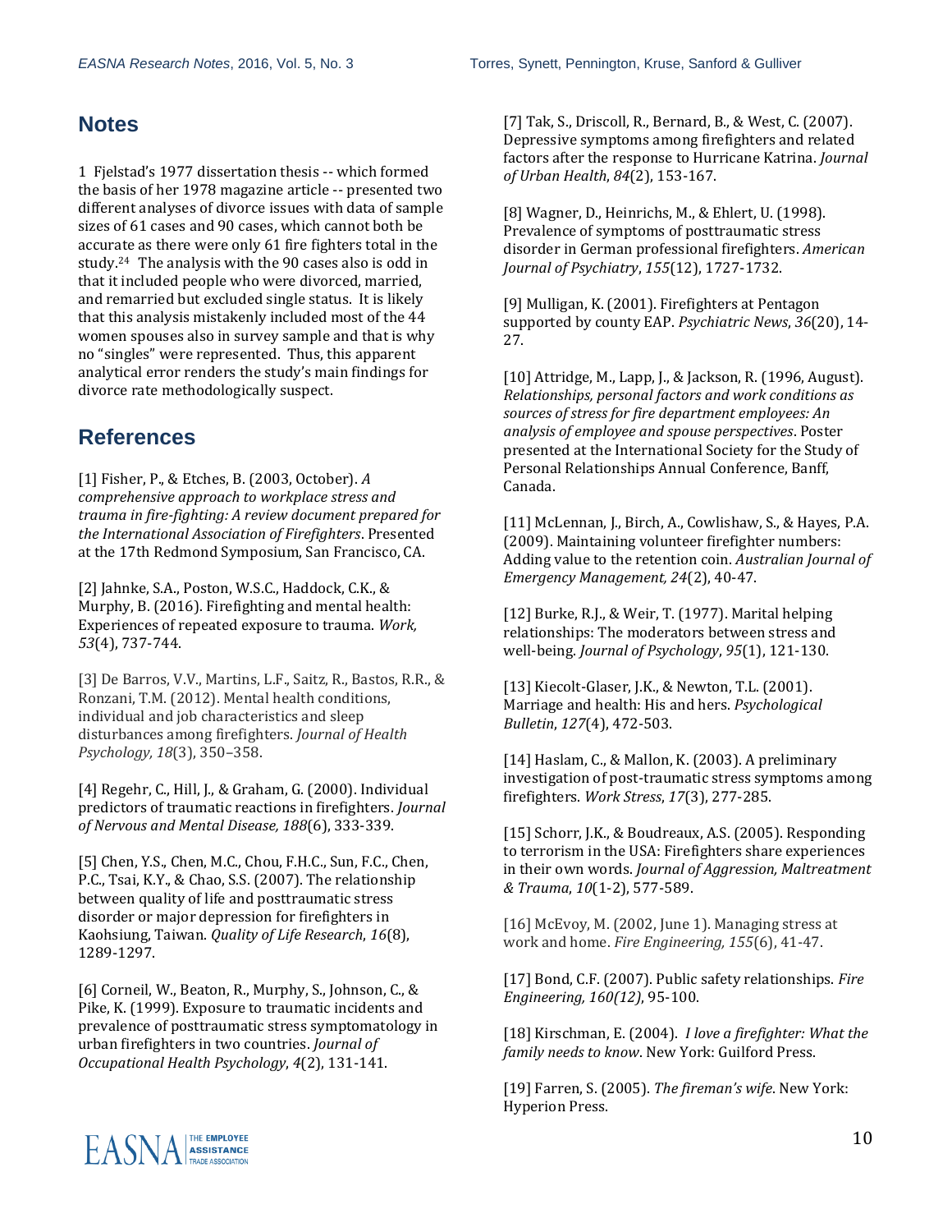#### **Notes**

1 Fjelstad's 1977 dissertation thesis -- which formed the basis of her 1978 magazine article -- presented two different analyses of divorce issues with data of sample sizes of 61 cases and 90 cases, which cannot both be accurate as there were only 61 fire fighters total in the study.24 The analysis with the 90 cases also is odd in that it included people who were divorced, married, and remarried but excluded single status. It is likely that this analysis mistakenly included most of the 44 women spouses also in survey sample and that is why no "singles" were represented. Thus, this apparent analytical error renders the study's main findings for divorce rate methodologically suspect.

#### **References**

[1] Fisher, P., & Etches, B. (2003, October). *A comprehensive approach to workplace stress and trauma in fire-fighting: A review document prepared for the International Association of Firefighters*. Presented at the 17th Redmond Symposium, San Francisco, CA.

[2] Jahnke, S.A., Poston, W.S.C., Haddock, C.K., & Murphy, B. (2016). Firefighting and mental health: Experiences of repeated exposure to trauma. *Work, 53*(4), 737-744.

[3] De Barros, V.V., Martins, L.F., Saitz, R., Bastos, R.R., & Ronzani, T.M. (2012). Mental health conditions, individual and job characteristics and sleep disturbances among firefighters. *Journal of Health Psychology, 18*(3), 350–358.

[4] Regehr, C., Hill, J., & Graham, G. (2000). Individual predictors of traumatic reactions in firefighters. *Journal of Nervous and Mental Disease, 188*(6), 333-339.

[5] Chen, Y.S., Chen, M.C., Chou, F.H.C., Sun, F.C., Chen, P.C., Tsai, K.Y., & Chao, S.S. (2007). The relationship between quality of life and posttraumatic stress disorder or major depression for firefighters in Kaohsiung, Taiwan. *Quality of Life Research*, *16*(8), 1289-1297.

[6] Corneil, W., Beaton, R., Murphy, S., Johnson, C., & Pike, K. (1999). Exposure to traumatic incidents and prevalence of posttraumatic stress symptomatology in urban firefighters in two countries. *Journal of Occupational Health Psychology*, *4*(2), 131-141.

[7] Tak, S., Driscoll, R., Bernard, B., & West, C. (2007). Depressive symptoms among firefighters and related factors after the response to Hurricane Katrina. *Journal of Urban Health*, *84*(2), 153-167.

[8] Wagner, D., Heinrichs, M., & Ehlert, U. (1998). Prevalence of symptoms of posttraumatic stress disorder in German professional firefighters. *American Journal of Psychiatry*, *155*(12), 1727-1732.

[9] Mulligan, K. (2001). Firefighters at Pentagon supported by county EAP. *Psychiatric News*, *36*(20), 14- 27.

[10] Attridge, M., Lapp, J., & Jackson, R. (1996, August). *Relationships, personal factors and work conditions as sources of stress for fire department employees: An analysis of employee and spouse perspectives*. Poster presented at the International Society for the Study of Personal Relationships Annual Conference, Banff, Canada.

[11] McLennan, J., Birch, A., Cowlishaw, S., & Hayes, P.A. (2009). Maintaining volunteer firefighter numbers: Adding value to the retention coin. *Australian Journal of Emergency Management, 24*(2), 40-47.

[12] Burke, R.J., & Weir, T. (1977). Marital helping relationships: The moderators between stress and well-being. *Journal of Psychology*, *95*(1), 121-130.

[13] Kiecolt-Glaser, J.K., & Newton, T.L. (2001). Marriage and health: His and hers. *Psychological Bulletin*, *127*(4), 472-503.

[14] Haslam, C., & Mallon, K. (2003). A preliminary investigation of post-traumatic stress symptoms among firefighters. *Work Stress*, *17*(3), 277-285.

[15] Schorr, J.K., & Boudreaux, A.S. (2005). Responding to terrorism in the USA: Firefighters share experiences in their own words. *Journal of Aggression, Maltreatment & Trauma*, *10*(1-2), 577-589.

[16] McEvoy, M. (2002, June 1). Managing stress at work and home. *Fire Engineering, 155*(6), 41-47.

[17] Bond, C.F. (2007). Public safety relationships. *Fire Engineering, 160(12)*, 95-100.

[18] Kirschman, E. (2004). *I love a firefighter: What the family needs to know*. New York: Guilford Press.

[19] Farren, S. (2005). *The fireman's wife*. New York: Hyperion Press.

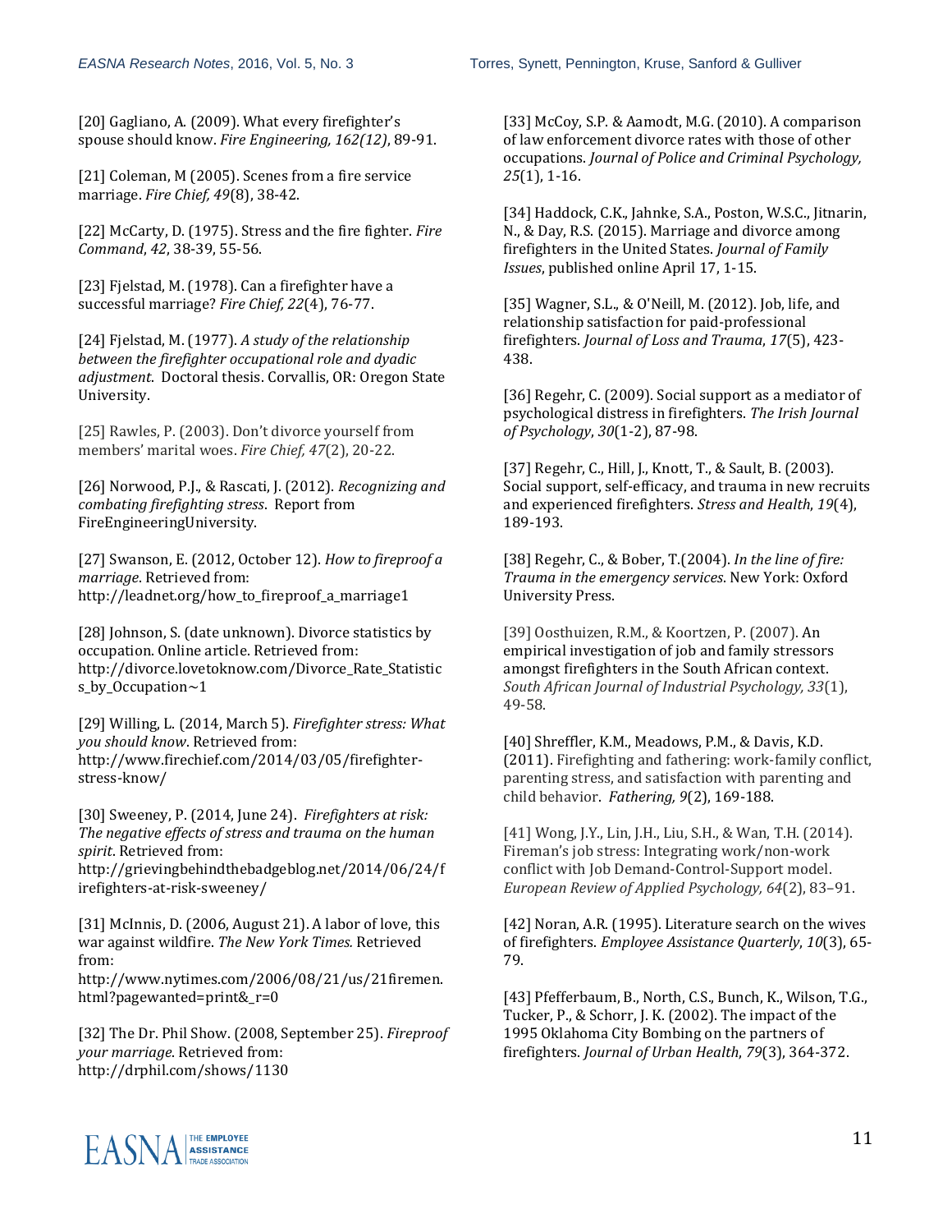[20] Gagliano, A. (2009). What every firefighter's spouse should know. *Fire Engineering, 162(12)*, 89-91.

[21] Coleman, M (2005). Scenes from a fire service marriage. *Fire Chief, 49*(8), 38-42.

[22] McCarty, D. (1975). Stress and the fire fighter. *Fire Command*, *42*, 38-39, 55-56.

[23] Fjelstad, M. (1978). Can a firefighter have a successful marriage? *Fire Chief, 22*(4), 76-77.

[24] Fjelstad, M. (1977). *A study of the relationship between the firefighter occupational role and dyadic adjustment*. Doctoral thesis. Corvallis, OR: Oregon State University.

[25] Rawles, P. (2003). Don't divorce yourself from members' marital woes. *Fire Chief, 47*(2), 20-22.

[26] Norwood, P.J., & Rascati, J. (2012). *Recognizing and combating firefighting stress*. Report from FireEngineeringUniversity.

[27] Swanson, E. (2012, October 12). *How to fireproof a marriage*. Retrieved from: http://leadnet.org/how\_to\_fireproof\_a\_marriage1

[28] Johnson, S. (date unknown). Divorce statistics by occupation. Online article. Retrieved from: http://divorce.lovetoknow.com/Divorce\_Rate\_Statistic s\_by\_Occupation~1

[29] Willing, L. (2014, March 5). *Firefighter stress: What you should know*. Retrieved from: http://www.firechief.com/2014/03/05/firefighterstress-know/

[30] Sweeney, P. (2014, June 24). *Firefighters at risk: The negative effects of stress and trauma on the human spirit*. Retrieved from:

http://grievingbehindthebadgeblog.net/2014/06/24/f irefighters-at-risk-sweeney/

[31] McInnis, D. (2006, August 21). A labor of love, this war against wildfire. *The New York Times.* Retrieved from:

http://www.nytimes.com/2006/08/21/us/21firemen. html?pagewanted=print&\_r=0

[32] The Dr. Phil Show. (2008, September 25). *Fireproof your marriage*. Retrieved from: http://drphil.com/shows/1130

[33] McCoy, S.P. & Aamodt, M.G. (2010). A comparison of law enforcement divorce rates with those of other occupations. *Journal of Police and Criminal Psychology, 25*(1), 1-16.

[34] Haddock, C.K., Jahnke, S.A., Poston, W.S.C., Jitnarin, N., & Day, R.S. (2015). Marriage and divorce among firefighters in the United States. *Journal of Family Issues*, published online April 17, 1-15.

[35] Wagner, S.L., & O'Neill, M. (2012). Job, life, and relationship satisfaction for paid-professional firefighters. *Journal of Loss and Trauma*, *17*(5), 423- 438.

[36] Regehr, C. (2009). Social support as a mediator of psychological distress in firefighters. *The Irish Journal of Psychology*, *30*(1-2), 87-98.

[37] Regehr, C., Hill, J., Knott, T., & Sault, B. (2003). Social support, self-efficacy, and trauma in new recruits and experienced firefighters. *Stress and Health*, *19*(4), 189-193.

[38] Regehr, C., & Bober, T.(2004). *In the line of fire: Trauma in the emergency services*. New York: Oxford University Press.

[39] Oosthuizen, R.M., & Koortzen, P. (2007). [An](http://primo.lib.umn.edu/primo_library/libweb/action/display.do?frbrVersion=3&tabs=viewOnlineTab&ct=display&fn=search&doc=TN_sabinet_newpsyc_v33_n1_a6&indx=2&recIds=TN_sabinet_newpsyc_v33_n1_a6&recIdxs=1&elementId=1&renderMode=poppedOut&displayMode=full&frbrVersion=3&frbg=&vl(47645736UI0)=any&&vl(1UI0)=contains&dscnt=0&scp.scps=scope%3A%28TWINCITIES%29%2Cprimo_central_multiple_fe&tb=t&mode=Basic&vid=TWINCITIES&srt=rank&tab=article_discovery&dum=true&vl(freeText0)=Firefighters%20divorce&dstmp=1469934527499)  [empirical investigation of job and family stressors](http://primo.lib.umn.edu/primo_library/libweb/action/display.do?frbrVersion=3&tabs=viewOnlineTab&ct=display&fn=search&doc=TN_sabinet_newpsyc_v33_n1_a6&indx=2&recIds=TN_sabinet_newpsyc_v33_n1_a6&recIdxs=1&elementId=1&renderMode=poppedOut&displayMode=full&frbrVersion=3&frbg=&vl(47645736UI0)=any&&vl(1UI0)=contains&dscnt=0&scp.scps=scope%3A%28TWINCITIES%29%2Cprimo_central_multiple_fe&tb=t&mode=Basic&vid=TWINCITIES&srt=rank&tab=article_discovery&dum=true&vl(freeText0)=Firefighters%20divorce&dstmp=1469934527499)  [amongst firefighters in the South African context.](http://primo.lib.umn.edu/primo_library/libweb/action/display.do?frbrVersion=3&tabs=viewOnlineTab&ct=display&fn=search&doc=TN_sabinet_newpsyc_v33_n1_a6&indx=2&recIds=TN_sabinet_newpsyc_v33_n1_a6&recIdxs=1&elementId=1&renderMode=poppedOut&displayMode=full&frbrVersion=3&frbg=&vl(47645736UI0)=any&&vl(1UI0)=contains&dscnt=0&scp.scps=scope%3A%28TWINCITIES%29%2Cprimo_central_multiple_fe&tb=t&mode=Basic&vid=TWINCITIES&srt=rank&tab=article_discovery&dum=true&vl(freeText0)=Firefighters%20divorce&dstmp=1469934527499)  *South African Journal of Industrial Psychology, 33*(1), 49-58.

[40] Shreffler, K.M., Meadows, P.M., & Davis, K.D. (2011). Firefighting and fathering: work-family conflict, parenting stress, and satisfaction with parenting and child behavior. *Fathering, 9*(2), 169-188.

[41] Wong, J.Y., Lin, J.H., Liu, S.H., & Wan, T.H. (2014). Fireman's job stress: Integrating work/non-work conflict with Job Demand-Control-Support model. *European Review of Applied Psychology, 64*(2), 83–91.

[42] Noran, A.R. (1995). Literature search on the wives of firefighters. *Employee Assistance Quarterly*, *10*(3), 65- 79.

[43] Pfefferbaum, B., North, C.S., Bunch, K., Wilson, T.G., Tucker, P., & Schorr, J. K. (2002). The impact of the 1995 Oklahoma City Bombing on the partners of firefighters. *Journal of Urban Health*, *79*(3), 364-372.

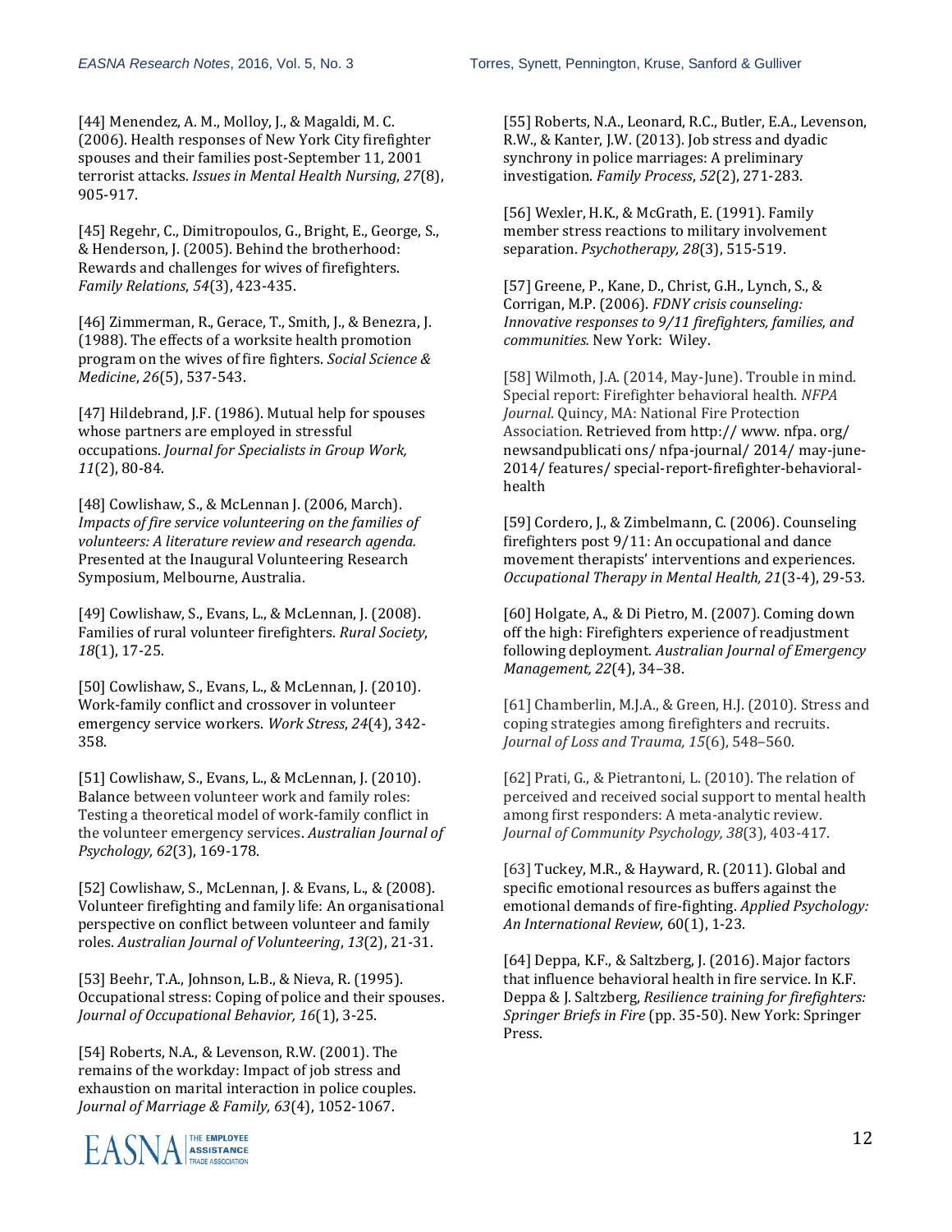[44] Menendez, A. M., Molloy, J., & Magaldi, M. C. (2006). Health responses of New York City firefighter spouses and their families post-September 11, 2001 terrorist attacks. *Issues in Mental Health Nursing*, *27*(8), 905-917.

[45] Regehr, C., Dimitropoulos, G., Bright, E., George, S., & Henderson, J. (2005). Behind the brotherhood: Rewards and challenges for wives of firefighters. *Family Relations*, *54*(3), 423-435.

[46] Zimmerman, R., Gerace, T., Smith, J., & Benezra, J. (1988). The effects of a worksite health promotion program on the wives of fire fighters. *Social Science & Medicine*, *26*(5), 537-543.

[47] Hildebrand, J.F. (1986). Mutual help for spouses whose partners are employed in stressful occupations. *Journal for Specialists in Group Work, 11*(2), 80-84.

[48] Cowlishaw, S., & McLennan J. (2006, March). *Impacts of fire service volunteering on the families of volunteers: A literature review and research agenda.* Presented at the Inaugural Volunteering Research Symposium, Melbourne, Australia.

[49] Cowlishaw, S., Evans, L., & McLennan, J. (2008). Families of rural volunteer firefighters. *Rural Society*, *18*(1), 17-25.

[50] Cowlishaw, S., Evans, L., & McLennan, J. (2010). Work-family conflict and crossover in volunteer emergency service workers. *Work Stress*, *24*(4), 342- 358.

[51] Cowlishaw, S., Evans, L., & McLennan, J. (2010). Balance between volunteer work and family roles: Testing a theoretical model of work-family conflict in the volunteer emergency services. *Australian Journal of Psychology, 62*(3), 169-178.

[52] Cowlishaw, S., McLennan, J. & Evans, L., & (2008). Volunteer firefighting and family life: An organisational perspective on conflict between volunteer and family roles. *Australian Journal of Volunteering*, *13*(2), 21-31.

[53] Beehr, T.A., Johnson, L.B., & Nieva, R. (1995). Occupational stress: Coping of police and their spouses. *Journal of Occupational Behavior, 16*(1), 3-25.

[54] Roberts, N.A., & Levenson, R.W. (2001). The remains of the workday: Impact of job stress and exhaustion on marital interaction in police couples. *Journal of Marriage & Family, 63*(4), 1052-1067.



[55] Roberts, N.A., Leonard, R.C., Butler, E.A., Levenson, R.W., & Kanter, J.W. (2013). Job stress and dyadic synchrony in police marriages: A preliminary investigation. *Family Process*, *52*(2), 271-283.

[56] Wexler, H.K., & McGrath, E. (1991). Family member stress reactions to military involvement separation. *Psychotherapy, 28*(3), 515-519.

[57] Greene, P., Kane, D., Christ, G.H., Lynch, S., & Corrigan, M.P. (2006). *FDNY crisis counseling: Innovative responses to 9/11 firefighters, families, and communities.* New York: Wiley.

[58] Wilmoth, J.A. (2014, May-June). Trouble in mind. Special report: Firefighter behavioral health. *NFPA Journal*. Quincy, MA: National Fire Protection Association. Retrieved from http:// www. nfpa. org/ newsandpublicati ons/ nfpa-journal/ 2014/ may-june-2014/ features/ special-report-firefighter-behavioralhealth

[59] Cordero, J., & Zimbelmann, C. (2006). Counseling firefighters post 9/11: An occupational and dance movement therapists' interventions and experiences. *Occupational Therapy in Mental Health, 21*(3-4), 29-53.

[60] Holgate, A., & Di Pietro, M. (2007). Coming down off the high: Firefighters experience of readjustment following deployment. *Australian Journal of Emergency Management, 22*(4), 34–38.

[61] Chamberlin, M.J.A., & Green, H.J. (2010). Stress and coping strategies among firefighters and recruits. *Journal of Loss and Trauma, 15*(6), 548–560.

[62] Prati, G., & Pietrantoni, L. (2010). The relation of perceived and received social support to mental health among first responders: A meta-analytic review. *Journal of Community Psychology, 38*(3), 403-417.

[63] Tuckey, M.R., & Hayward, R. (2011). Global and specific emotional resources as buffers against the emotional demands of fire-fighting. *Applied Psychology: An International Review*, 60(1), 1-23.

[64] Deppa, K.F., & Saltzberg, J. (2016). Major factors that influence behavioral health in fire service. In K.F. Deppa & J. Saltzberg, *Resilience training for firefighters: Springer Briefs in Fire* (pp. 35-50). New York: Springer Press.